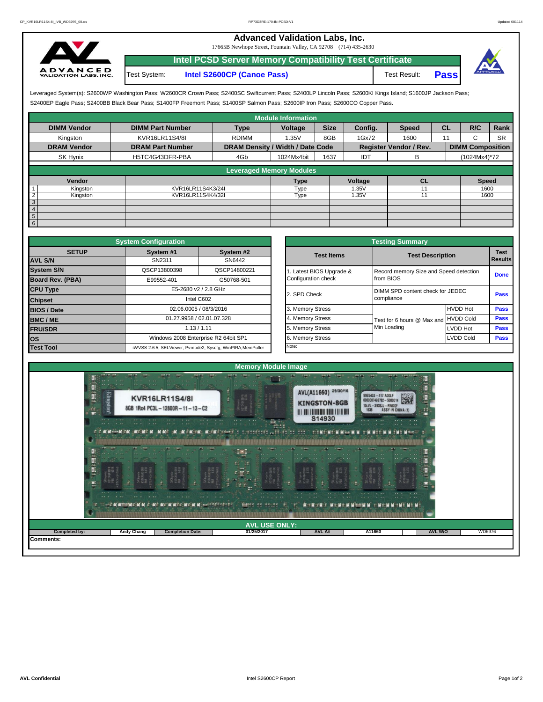## **Advanced Validation Labs, Inc.**

17665B Newhope Street, Fountain Valley, CA 92708 (714) 435-2630



**Intel PCSD Server Memory Compatibility Test Certificate** Test System: **Intel S2600CP (Canoe Pass)** Test Result: **Pass**



Leveraged System(s): S2600WP Washington Pass; W2600CR Crown Pass; S2400SC Swiftcurrent Pass; S2400LP Lincoln Pass; S2600KI Kings Island; S1600JP Jackson Pass; S2400EP Eagle Pass; S2400BB Black Bear Pass; S1400FP Freemont Pass; S1400SP Salmon Pass; S2600IP Iron Pass; S2600CO Copper Pass.

|                            |                         |                                  | <b>Module Information</b> |             |         |                               |           |                         |           |
|----------------------------|-------------------------|----------------------------------|---------------------------|-------------|---------|-------------------------------|-----------|-------------------------|-----------|
| <b>DIMM Vendor</b>         | <b>DIMM Part Number</b> | <b>Type</b>                      | Voltage                   | <b>Size</b> | Config. | <b>Speed</b>                  | <b>CL</b> | R/C                     | Rank      |
| Kingston                   | KVR16LR11S4/8I          | <b>RDIMM</b>                     | 1.35V                     | 8GB         | 1Gx72   | 1600                          | 11        | ι.                      | <b>SR</b> |
| <b>DRAM Vendor</b>         | <b>DRAM Part Number</b> | DRAM Density / Width / Date Code |                           |             |         | <b>Register Vendor / Rev.</b> |           | <b>DIMM Composition</b> |           |
| SK Hynix                   | H5TC4G43DFR-PBA         | 4Gb                              | 1024Mx4bit                | 1637        | IDT     | В                             |           | (1024Mx4)*72            |           |
|                            |                         | <b>Leveraged Memory Modules</b>  |                           |             |         |                               |           |                         |           |
|                            |                         |                                  |                           |             |         |                               |           |                         |           |
| Vendor                     |                         |                                  | Type                      |             | Voltage | <b>CL</b>                     |           | <b>Speed</b>            |           |
| Kingston                   | KVR16LR11S4K3/24I       |                                  | Type                      |             | 1.35V   |                               |           | 1600                    |           |
| $\overline{2}$<br>Kingston | KVR16LR11S4K4/32I       |                                  | Type                      |             | 1.35V   | 11                            |           | 1600                    |           |
| $\sqrt{3}$                 |                         |                                  |                           |             |         |                               |           |                         |           |
| $\overline{4}$             |                         |                                  |                           |             |         |                               |           |                         |           |
| $5\overline{)}$            |                         |                                  |                           |             |         |                               |           |                         |           |
| 6                          |                         |                                  |                           |             |         |                               |           |                         |           |

|                         | <b>System Configuration</b> |                                                             |                  |                       | <b>Testing Summary</b>                 |                 |                 |
|-------------------------|-----------------------------|-------------------------------------------------------------|------------------|-----------------------|----------------------------------------|-----------------|-----------------|
| <b>SETUP</b>            | System #1                   | System #2                                                   |                  | <b>Test Items</b>     | <b>Test Description</b>                |                 | <b>Test</b>     |
| <b>AVL S/N</b>          | SN2311                      | SN6442                                                      |                  |                       |                                        |                 | <b>I</b> Result |
| <b>System S/N</b>       | QSCP13800398                | QSCP14800221                                                |                  | Latest BIOS Upgrade & | Record memory Size and Speed detection | Done            |                 |
| <b>Board Rev. (PBA)</b> | E99552-401                  | G50768-501                                                  |                  | Configuration check   | from BIOS                              |                 |                 |
| <b>CPU Type</b>         |                             | E5-2680 v2 / 2.8 GHz                                        | 2. SPD Check     |                       | DIMM SPD content check for JEDEC       | Pass            |                 |
| <b>Chipset</b>          |                             | Intel C602                                                  |                  |                       | compliance                             |                 |                 |
| <b>BIOS / Date</b>      |                             | 02.06.0005 / 08/3/2016                                      | 3. Memory Stress |                       |                                        | <b>HVDD Hot</b> | Pass            |
| <b>BMC/ME</b>           |                             | 01.27.9958 / 02.01.07.328                                   | 4. Memory Stress |                       | Test for 6 hours @ Max and HVDD Cold   |                 | Pass            |
| <b>FRU/SDR</b>          |                             | 1.13 / 1.11                                                 |                  |                       | Min Loading                            | <b>LVDD Hot</b> | Pass            |
| los                     |                             | Windows 2008 Enterprise R2 64bit SP1                        |                  | <b>Memory Stress</b>  |                                        | Pass            |                 |
| <b>Test Tool</b>        |                             | iWVSS 2.6.5, SELViewer, Pvmode2, Syscfg, WinPIRA, MemPuller | Note:            |                       |                                        |                 |                 |

|              | <b>System Configuration</b> |                                                             |  | <b>Testing Summary</b> |                                      |                                        |                |  |  |  |  |  |
|--------------|-----------------------------|-------------------------------------------------------------|--|------------------------|--------------------------------------|----------------------------------------|----------------|--|--|--|--|--|
| <b>SETUP</b> | System #1                   | System #2                                                   |  | <b>Test Items</b>      | <b>Test Description</b>              |                                        |                |  |  |  |  |  |
|              | SN2311                      | SN6442                                                      |  |                        |                                      |                                        | <b>Results</b> |  |  |  |  |  |
|              | QSCP13800398                | QSCP14800221                                                |  | Latest BIOS Upgrade &  |                                      | Record memory Size and Speed detection |                |  |  |  |  |  |
| PBA)         | E99552-401                  | G50768-501                                                  |  | Configuration check    | from BIOS                            | <b>Done</b>                            |                |  |  |  |  |  |
|              |                             | E5-2680 v2 / 2.8 GHz                                        |  | 2. SPD Check           | DIMM SPD content check for JEDEC     |                                        |                |  |  |  |  |  |
|              |                             | Intel C602                                                  |  |                        | compliance                           | Pass                                   |                |  |  |  |  |  |
|              |                             | 02.06.0005 / 08/3/2016                                      |  | 3. Memory Stress       |                                      | <b>HVDD Hot</b>                        | Pass           |  |  |  |  |  |
|              |                             | 01.27.9958 / 02.01.07.328                                   |  | 4. Memory Stress       | Test for 6 hours @ Max and HVDD Cold |                                        | Pass           |  |  |  |  |  |
|              |                             | 1.13 / 1.11                                                 |  | 5. Memory Stress       | Min Loading                          | <b>LVDD Hot</b>                        | Pass           |  |  |  |  |  |
|              |                             | Windows 2008 Enterprise R2 64bit SP1                        |  | 6. Memory Stress       |                                      | Pass                                   |                |  |  |  |  |  |
|              |                             | iWVSS 2.6.5, SELViewer, Pvmode2, Syscfq, WinPIRA, MemPuller |  | Note:                  |                                      |                                        |                |  |  |  |  |  |